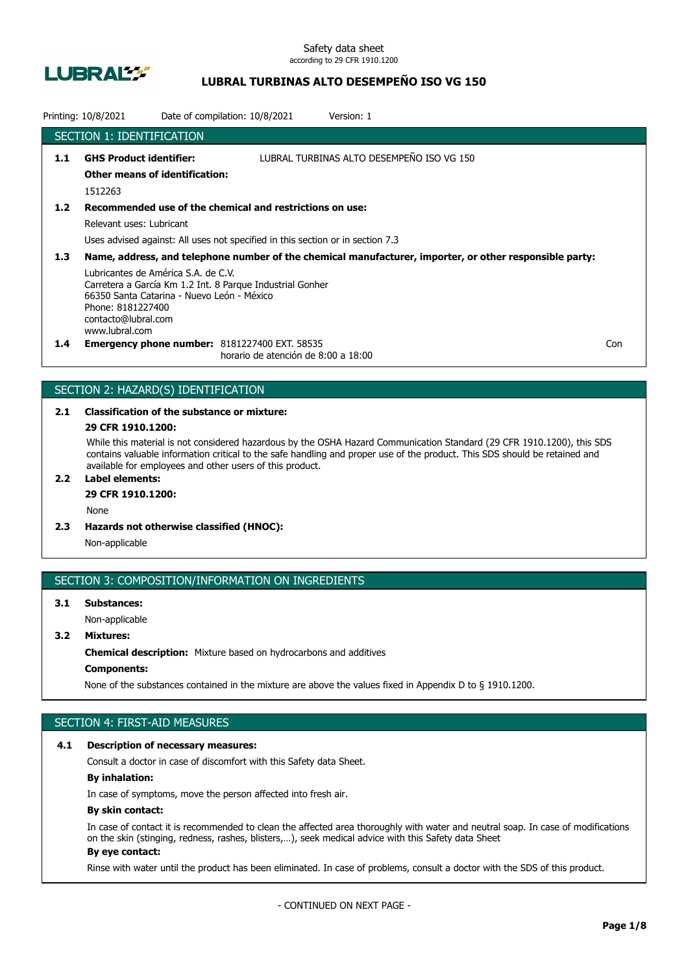

## **LUBRAL TURBINAS ALTO DESEMPEÑO ISO VG 150**

|               | Printing: 10/8/2021                                                                                                                             |  | Date of compilation: 10/8/2021                                                              | Version: 1                                                                                              |     |
|---------------|-------------------------------------------------------------------------------------------------------------------------------------------------|--|---------------------------------------------------------------------------------------------|---------------------------------------------------------------------------------------------------------|-----|
|               | <b>SECTION 1: IDENTIFICATION</b>                                                                                                                |  |                                                                                             |                                                                                                         |     |
| 1.1           | <b>GHS Product identifier:</b>                                                                                                                  |  |                                                                                             | LUBRAL TURBINAS ALTO DESEMPEÑO ISO VG 150                                                               |     |
|               | <b>Other means of identification:</b>                                                                                                           |  |                                                                                             |                                                                                                         |     |
|               | 1512263                                                                                                                                         |  |                                                                                             |                                                                                                         |     |
| $1.2$         |                                                                                                                                                 |  | Recommended use of the chemical and restrictions on use:                                    |                                                                                                         |     |
|               | Relevant uses: Lubricant                                                                                                                        |  |                                                                                             |                                                                                                         |     |
|               |                                                                                                                                                 |  | Uses advised against: All uses not specified in this section or in section 7.3              |                                                                                                         |     |
| 1.3           |                                                                                                                                                 |  |                                                                                             | Name, address, and telephone number of the chemical manufacturer, importer, or other responsible party: |     |
|               | Lubricantes de América S.A. de C.V.<br>66350 Santa Catarina - Nuevo León - México<br>Phone: 8181227400<br>contacto@lubral.com<br>www.lubral.com |  | Carretera a García Km 1.2 Int. 8 Parque Industrial Gonher                                   |                                                                                                         |     |
| $1.4^{\circ}$ |                                                                                                                                                 |  | <b>Emergency phone number: 8181227400 EXT. 58535</b><br>horario de atención de 8:00 a 18:00 |                                                                                                         | Con |

## SECTION 2: HAZARD(S) IDENTIFICATION

# **2.1 Classification of the substance or mixture:**

### **29 CFR 1910.1200:**

While this material is not considered hazardous by the OSHA Hazard Communication Standard (29 CFR 1910.1200), this SDS contains valuable information critical to the safe handling and proper use of the product. This SDS should be retained and available for employees and other users of this product.

## **2.2 Label elements:**

## **29 CFR 1910.1200:**

None

**2.3 Hazards not otherwise classified (HNOC):**

Non-applicable

## SECTION 3: COMPOSITION/INFORMATION ON INGREDIENTS

## **3.1 Substances:** Non-applicable

## **3.2 Mixtures:**

**Chemical description:** Mixture based on hydrocarbons and additives

### **Components:**

None of the substances contained in the mixture are above the values fixed in Appendix D to § 1910.1200.

## SECTION 4: FIRST-AID MEASURES

#### **4.1 Description of necessary measures:**

Consult a doctor in case of discomfort with this Safety data Sheet.

### **By inhalation:**

In case of symptoms, move the person affected into fresh air.

#### **By skin contact:**

In case of contact it is recommended to clean the affected area thoroughly with water and neutral soap. In case of modifications on the skin (stinging, redness, rashes, blisters,…), seek medical advice with this Safety data Sheet **By eye contact:**

#### Rinse with water until the product has been eliminated. In case of problems, consult a doctor with the SDS of this product.

- CONTINUED ON NEXT PAGE -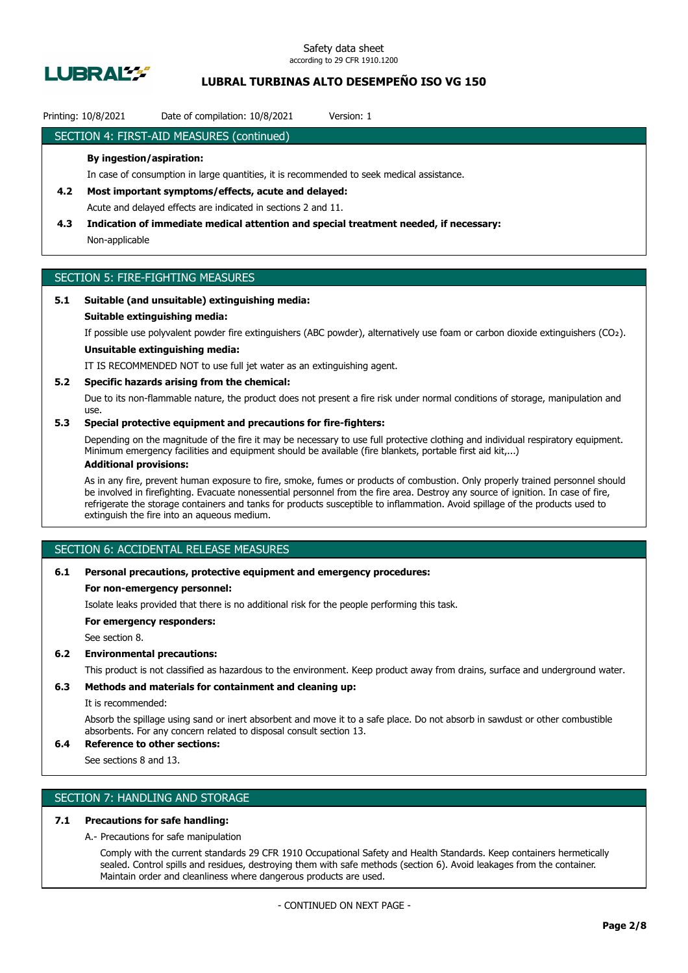

## **LUBRAL TURBINAS ALTO DESEMPEÑO ISO VG 150**

### Printing: 10/8/2021 Date of compilation: 10/8/2021 Version: 1

### SECTION 4: FIRST-AID MEASURES (continued)

#### **By ingestion/aspiration:**

In case of consumption in large quantities, it is recommended to seek medical assistance.

- **4.2 Most important symptoms/effects, acute and delayed:** Acute and delayed effects are indicated in sections 2 and 11.
- **4.3 Indication of immediate medical attention and special treatment needed, if necessary:** Non-applicable

## SECTION 5: FIRE-FIGHTING MEASURES

### **5.1 Suitable (and unsuitable) extinguishing media:**

#### **Suitable extinguishing media:**

If possible use polyvalent powder fire extinguishers (ABC powder), alternatively use foam or carbon dioxide extinguishers (CO₂).

## **Unsuitable extinguishing media:**

IT IS RECOMMENDED NOT to use full jet water as an extinguishing agent.

#### **5.2 Specific hazards arising from the chemical:**

Due to its non-flammable nature, the product does not present a fire risk under normal conditions of storage, manipulation and use.

### **5.3 Special protective equipment and precautions for fire-fighters:**

Depending on the magnitude of the fire it may be necessary to use full protective clothing and individual respiratory equipment. Minimum emergency facilities and equipment should be available (fire blankets, portable first aid kit,...)

### **Additional provisions:**

As in any fire, prevent human exposure to fire, smoke, fumes or products of combustion. Only properly trained personnel should be involved in firefighting. Evacuate nonessential personnel from the fire area. Destroy any source of ignition. In case of fire, refrigerate the storage containers and tanks for products susceptible to inflammation. Avoid spillage of the products used to extinguish the fire into an aqueous medium.

## SECTION 6: ACCIDENTAL RELEASE MEASURES

#### **6.1 Personal precautions, protective equipment and emergency procedures:**

#### **For non-emergency personnel:**

Isolate leaks provided that there is no additional risk for the people performing this task.

**For emergency responders:**

See section 8.

#### **6.2 Environmental precautions:**

This product is not classified as hazardous to the environment. Keep product away from drains, surface and underground water.

#### **6.3 Methods and materials for containment and cleaning up:**

It is recommended:

Absorb the spillage using sand or inert absorbent and move it to a safe place. Do not absorb in sawdust or other combustible absorbents. For any concern related to disposal consult section 13.

## **6.4 Reference to other sections:**

See sections 8 and 13.

## SECTION 7: HANDLING AND STORAGE

### **7.1 Precautions for safe handling:**

A.- Precautions for safe manipulation

Comply with the current standards 29 CFR 1910 Occupational Safety and Health Standards. Keep containers hermetically sealed. Control spills and residues, destroying them with safe methods (section 6). Avoid leakages from the container. Maintain order and cleanliness where dangerous products are used.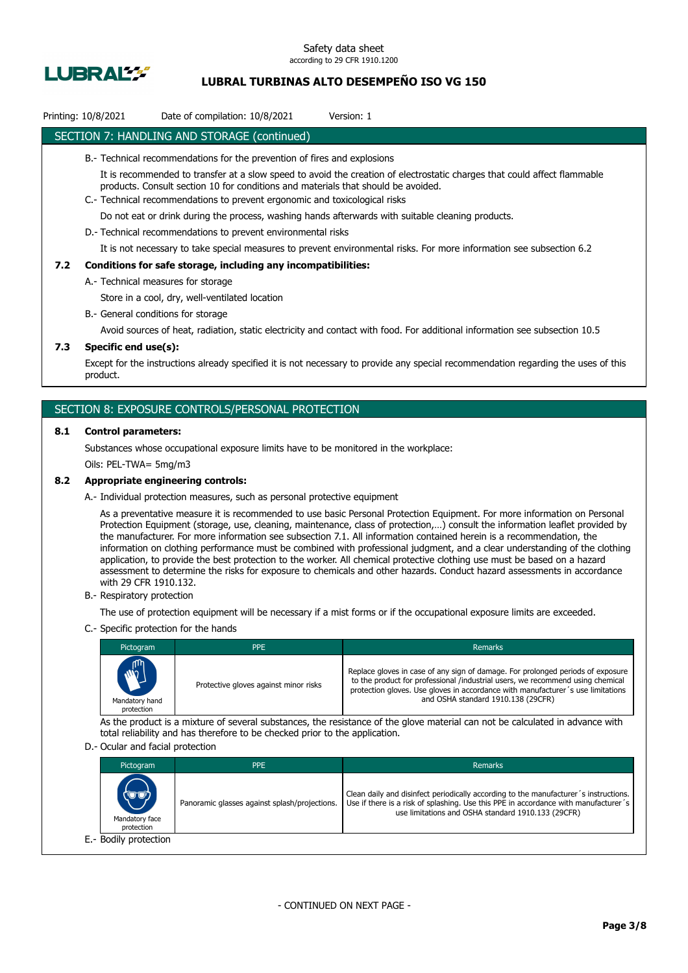

## **LUBRAL TURBINAS ALTO DESEMPEÑO ISO VG 150**

## Printing: 10/8/2021 Date of compilation: 10/8/2021 Version: 1

### SECTION 7: HANDLING AND STORAGE (continued)

- B.- Technical recommendations for the prevention of fires and explosions
	- It is recommended to transfer at a slow speed to avoid the creation of electrostatic charges that could affect flammable products. Consult section 10 for conditions and materials that should be avoided.
- C.- Technical recommendations to prevent ergonomic and toxicological risks

Do not eat or drink during the process, washing hands afterwards with suitable cleaning products.

D.- Technical recommendations to prevent environmental risks

It is not necessary to take special measures to prevent environmental risks. For more information see subsection 6.2

#### **7.2 Conditions for safe storage, including any incompatibilities:**

A.- Technical measures for storage

Store in a cool, dry, well-ventilated location

B.- General conditions for storage

Avoid sources of heat, radiation, static electricity and contact with food. For additional information see subsection 10.5

### **7.3 Specific end use(s):**

Except for the instructions already specified it is not necessary to provide any special recommendation regarding the uses of this product.

### SECTION 8: EXPOSURE CONTROLS/PERSONAL PROTECTION

#### **8.1 Control parameters:**

Substances whose occupational exposure limits have to be monitored in the workplace:

Oils: PEL-TWA= 5mg/m3

#### **8.2 Appropriate engineering controls:**

A.- Individual protection measures, such as personal protective equipment

As a preventative measure it is recommended to use basic Personal Protection Equipment. For more information on Personal Protection Equipment (storage, use, cleaning, maintenance, class of protection,…) consult the information leaflet provided by the manufacturer. For more information see subsection 7.1. All information contained herein is a recommendation, the information on clothing performance must be combined with professional judgment, and a clear understanding of the clothing application, to provide the best protection to the worker. All chemical protective clothing use must be based on a hazard assessment to determine the risks for exposure to chemicals and other hazards. Conduct hazard assessments in accordance with 29 CFR 1910.132.

B.- Respiratory protection

The use of protection equipment will be necessary if a mist forms or if the occupational exposure limits are exceeded.

C.- Specific protection for the hands

| Pictogram                                  | <b>PPE</b>                            | <b>Remarks</b>                                                                                                                                                                                                                                                                             |
|--------------------------------------------|---------------------------------------|--------------------------------------------------------------------------------------------------------------------------------------------------------------------------------------------------------------------------------------------------------------------------------------------|
| <b>AND</b><br>Mandatory hand<br>protection | Protective gloves against minor risks | Replace gloves in case of any sign of damage. For prolonged periods of exposure<br>to the product for professional /industrial users, we recommend using chemical<br>protection gloves. Use gloves in accordance with manufacturer's use limitations<br>and OSHA standard 1910.138 (29CFR) |

As the product is a mixture of several substances, the resistance of the glove material can not be calculated in advance with total reliability and has therefore to be checked prior to the application.

#### D.- Ocular and facial protection

| Pictogram                            | <b>PPE</b>                                    | Remarks                                                                                                                                                                                                                           |
|--------------------------------------|-----------------------------------------------|-----------------------------------------------------------------------------------------------------------------------------------------------------------------------------------------------------------------------------------|
| (UU)<br>Mandatory face<br>protection | Panoramic glasses against splash/projections. | Clean daily and disinfect periodically according to the manufacturer's instructions.<br>Use if there is a risk of splashing. Use this PPE in accordance with manufacturer's<br>use limitations and OSHA standard 1910.133 (29CFR) |
| E.- Bodily protection                |                                               |                                                                                                                                                                                                                                   |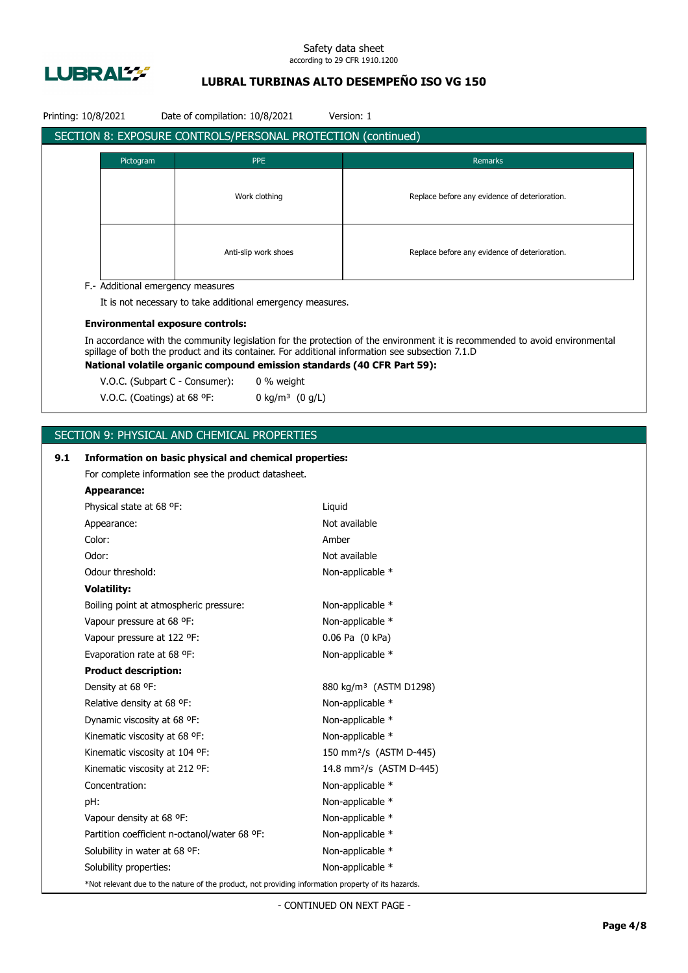

## **LUBRAL TURBINAS ALTO DESEMPEÑO ISO VG 150**

|     | Printing: 10/8/2021                              | Date of compilation: 10/8/2021                      |                                                                                                    | Version: 1                                                                                                                                                                 |  |  |
|-----|--------------------------------------------------|-----------------------------------------------------|----------------------------------------------------------------------------------------------------|----------------------------------------------------------------------------------------------------------------------------------------------------------------------------|--|--|
|     |                                                  |                                                     | SECTION 8: EXPOSURE CONTROLS/PERSONAL PROTECTION (continued)                                       |                                                                                                                                                                            |  |  |
|     | Pictogram                                        |                                                     | <b>PPE</b>                                                                                         | Remarks                                                                                                                                                                    |  |  |
|     |                                                  |                                                     |                                                                                                    |                                                                                                                                                                            |  |  |
|     | Work clothing                                    |                                                     |                                                                                                    | Replace before any evidence of deterioration.                                                                                                                              |  |  |
|     |                                                  |                                                     |                                                                                                    |                                                                                                                                                                            |  |  |
|     |                                                  |                                                     |                                                                                                    |                                                                                                                                                                            |  |  |
|     |                                                  |                                                     |                                                                                                    |                                                                                                                                                                            |  |  |
|     |                                                  |                                                     | Anti-slip work shoes                                                                               | Replace before any evidence of deterioration.                                                                                                                              |  |  |
|     |                                                  |                                                     |                                                                                                    |                                                                                                                                                                            |  |  |
|     | F.- Additional emergency measures                |                                                     |                                                                                                    |                                                                                                                                                                            |  |  |
|     |                                                  |                                                     | It is not necessary to take additional emergency measures.                                         |                                                                                                                                                                            |  |  |
|     | <b>Environmental exposure controls:</b>          |                                                     |                                                                                                    |                                                                                                                                                                            |  |  |
|     |                                                  |                                                     |                                                                                                    | In accordance with the community legislation for the protection of the environment it is recommended to avoid environmental                                                |  |  |
|     |                                                  |                                                     |                                                                                                    | spillage of both the product and its container. For additional information see subsection 7.1.D<br>National volatile organic compound emission standards (40 CFR Part 59): |  |  |
|     | V.O.C. (Subpart C - Consumer):                   |                                                     | 0 % weight                                                                                         |                                                                                                                                                                            |  |  |
|     | V.O.C. (Coatings) at 68 °F:                      |                                                     | 0 kg/m <sup>3</sup> $(0 g/L)$                                                                      |                                                                                                                                                                            |  |  |
|     |                                                  |                                                     |                                                                                                    |                                                                                                                                                                            |  |  |
|     |                                                  |                                                     |                                                                                                    |                                                                                                                                                                            |  |  |
|     | SECTION 9: PHYSICAL AND CHEMICAL PROPERTIES      |                                                     |                                                                                                    |                                                                                                                                                                            |  |  |
| 9.1 |                                                  |                                                     | Information on basic physical and chemical properties:                                             |                                                                                                                                                                            |  |  |
|     |                                                  | For complete information see the product datasheet. |                                                                                                    |                                                                                                                                                                            |  |  |
|     | <b>Appearance:</b>                               |                                                     |                                                                                                    |                                                                                                                                                                            |  |  |
|     | Physical state at 68 °F:                         |                                                     | Liquid                                                                                             |                                                                                                                                                                            |  |  |
|     | Appearance:                                      |                                                     |                                                                                                    | Not available                                                                                                                                                              |  |  |
|     | Color:                                           |                                                     | Amber                                                                                              |                                                                                                                                                                            |  |  |
|     | Odor:                                            |                                                     |                                                                                                    | Not available                                                                                                                                                              |  |  |
|     | Odour threshold:                                 |                                                     |                                                                                                    | Non-applicable *                                                                                                                                                           |  |  |
|     | <b>Volatility:</b>                               |                                                     |                                                                                                    |                                                                                                                                                                            |  |  |
|     | Boiling point at atmospheric pressure:           |                                                     |                                                                                                    | Non-applicable *                                                                                                                                                           |  |  |
|     | Vapour pressure at 68 °F:                        |                                                     |                                                                                                    | Non-applicable *                                                                                                                                                           |  |  |
|     | Vapour pressure at 122 °F:                       |                                                     |                                                                                                    | 0.06 Pa (0 kPa)                                                                                                                                                            |  |  |
|     | Evaporation rate at 68 °F:                       |                                                     |                                                                                                    | Non-applicable *                                                                                                                                                           |  |  |
|     | <b>Product description:</b><br>Density at 68 °F: |                                                     |                                                                                                    | 880 kg/m <sup>3</sup> (ASTM D1298)                                                                                                                                         |  |  |
|     | Relative density at 68 °F:                       |                                                     |                                                                                                    | Non-applicable *                                                                                                                                                           |  |  |
|     | Dynamic viscosity at 68 °F:                      |                                                     |                                                                                                    | Non-applicable *                                                                                                                                                           |  |  |
|     | Kinematic viscosity at 68 °F:                    |                                                     |                                                                                                    | Non-applicable *                                                                                                                                                           |  |  |
|     | Kinematic viscosity at 104 °F:                   |                                                     |                                                                                                    | 150 mm <sup>2</sup> /s (ASTM D-445)                                                                                                                                        |  |  |
|     | Kinematic viscosity at 212 °F:                   |                                                     |                                                                                                    | 14.8 mm <sup>2</sup> /s (ASTM D-445)                                                                                                                                       |  |  |
|     | Concentration:                                   |                                                     |                                                                                                    | Non-applicable *                                                                                                                                                           |  |  |
|     | pH:                                              |                                                     |                                                                                                    | Non-applicable *                                                                                                                                                           |  |  |
|     | Vapour density at 68 °F:                         |                                                     |                                                                                                    | Non-applicable *                                                                                                                                                           |  |  |
|     |                                                  | Partition coefficient n-octanol/water 68 °F:        |                                                                                                    | Non-applicable *                                                                                                                                                           |  |  |
|     | Solubility in water at 68 °F:                    |                                                     |                                                                                                    | Non-applicable *                                                                                                                                                           |  |  |
|     | Solubility properties:                           |                                                     |                                                                                                    | Non-applicable *                                                                                                                                                           |  |  |
|     |                                                  |                                                     | *Not relevant due to the nature of the product, not providing information property of its hazards. |                                                                                                                                                                            |  |  |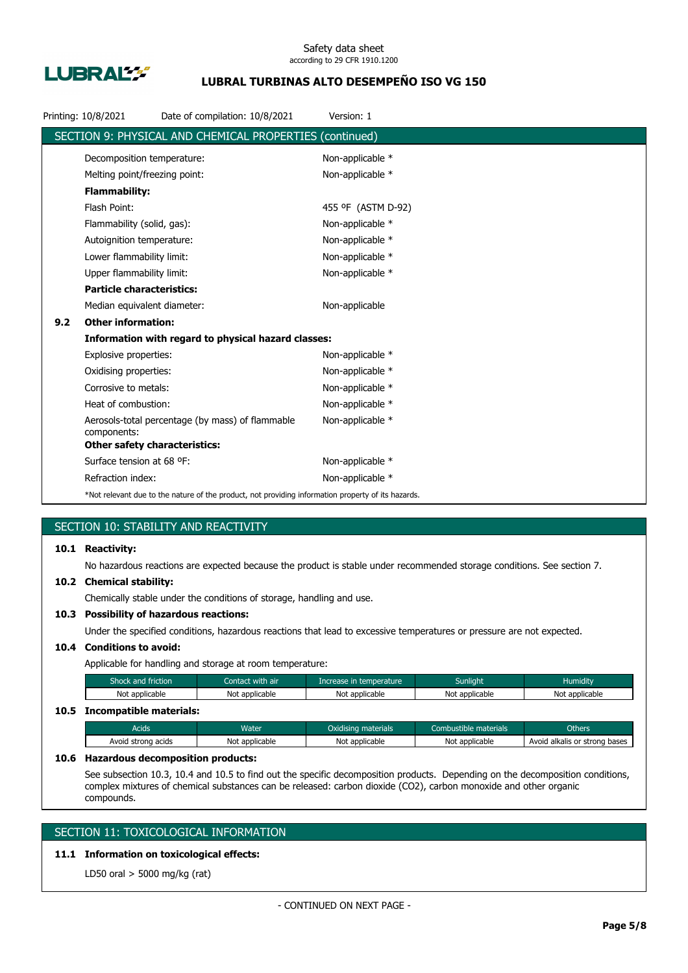

## **LUBRAL TURBINAS ALTO DESEMPEÑO ISO VG 150**

|     | Printing: 10/8/2021                  | Date of compilation: 10/8/2021                                                                     | Version: 1         |
|-----|--------------------------------------|----------------------------------------------------------------------------------------------------|--------------------|
|     |                                      | SECTION 9: PHYSICAL AND CHEMICAL PROPERTIES (continued)                                            |                    |
|     | Decomposition temperature:           |                                                                                                    | Non-applicable *   |
|     | Melting point/freezing point:        |                                                                                                    | Non-applicable *   |
|     | <b>Flammability:</b>                 |                                                                                                    |                    |
|     | Flash Point:                         |                                                                                                    | 455 °F (ASTM D-92) |
|     | Flammability (solid, gas):           |                                                                                                    | Non-applicable *   |
|     | Autoignition temperature:            |                                                                                                    | Non-applicable *   |
|     | Lower flammability limit:            |                                                                                                    | Non-applicable *   |
|     | Upper flammability limit:            |                                                                                                    | Non-applicable *   |
|     | <b>Particle characteristics:</b>     |                                                                                                    |                    |
|     | Median equivalent diameter:          |                                                                                                    | Non-applicable     |
| 9.2 | <b>Other information:</b>            |                                                                                                    |                    |
|     |                                      | Information with regard to physical hazard classes:                                                |                    |
|     | Explosive properties:                |                                                                                                    | Non-applicable *   |
|     | Oxidising properties:                |                                                                                                    | Non-applicable *   |
|     | Corrosive to metals:                 |                                                                                                    | Non-applicable *   |
|     | Heat of combustion:                  |                                                                                                    | Non-applicable *   |
|     | components:                          | Aerosols-total percentage (by mass) of flammable                                                   | Non-applicable *   |
|     | <b>Other safety characteristics:</b> |                                                                                                    |                    |
|     | Surface tension at 68 °F:            |                                                                                                    | Non-applicable *   |
|     | Refraction index:                    |                                                                                                    | Non-applicable *   |
|     |                                      | *Not relevant due to the nature of the product, not providing information property of its hazards. |                    |

## SECTION 10: STABILITY AND REACTIVITY

### **10.1 Reactivity:**

No hazardous reactions are expected because the product is stable under recommended storage conditions. See section 7.

#### **10.2 Chemical stability:**

Chemically stable under the conditions of storage, handling and use.

### **10.3 Possibility of hazardous reactions:**

Under the specified conditions, hazardous reactions that lead to excessive temperatures or pressure are not expected.

## **10.4 Conditions to avoid:**

Applicable for handling and storage at room temperature:

| Shock and friction           | Contact with air | Increase in temperature | <b>Sunlight</b> | <b>Humidity</b> |
|------------------------------|------------------|-------------------------|-----------------|-----------------|
| Not applicable               | Not applicable   | Not applicable          | Not applicable  | Not applicable  |
| 10.5 Incompatible materials: |                  |                         |                 |                 |

## Acids **Water Water Combustible materials** Combustible materials Combustible materials Combustible materials Avoid strong acids Not applicable Not applicable Not applicable Not applicable Avoid alkalis or strong bases

#### **10.6 Hazardous decomposition products:**

See subsection 10.3, 10.4 and 10.5 to find out the specific decomposition products. Depending on the decomposition conditions, complex mixtures of chemical substances can be released: carbon dioxide (CO2), carbon monoxide and other organic compounds.

## SECTION 11: TOXICOLOGICAL INFORMATION

## **11.1 Information on toxicological effects:**

LD50 oral > 5000 mg/kg (rat)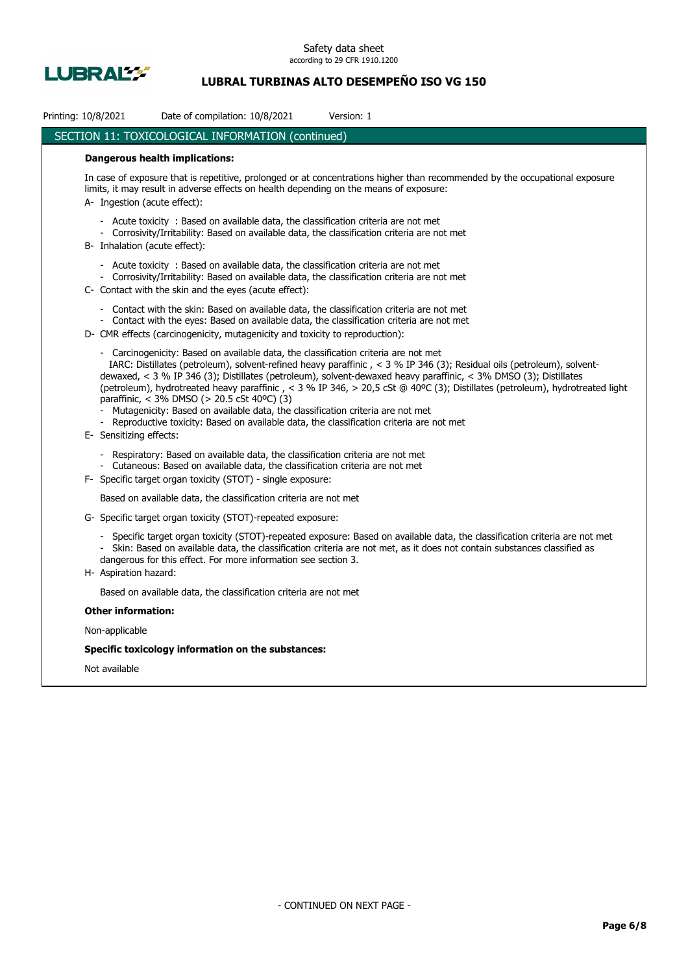

## **LUBRAL TURBINAS ALTO DESEMPEÑO ISO VG 150**

| Printing: 10/8/2021<br>Date of compilation: 10/8/2021<br>Version: 1                                                                                                                                                                                                                                                                                                                                                                                                                                                                                                                                                                                                                                                        |
|----------------------------------------------------------------------------------------------------------------------------------------------------------------------------------------------------------------------------------------------------------------------------------------------------------------------------------------------------------------------------------------------------------------------------------------------------------------------------------------------------------------------------------------------------------------------------------------------------------------------------------------------------------------------------------------------------------------------------|
| SECTION 11: TOXICOLOGICAL INFORMATION (continued)                                                                                                                                                                                                                                                                                                                                                                                                                                                                                                                                                                                                                                                                          |
| <b>Dangerous health implications:</b>                                                                                                                                                                                                                                                                                                                                                                                                                                                                                                                                                                                                                                                                                      |
| In case of exposure that is repetitive, prolonged or at concentrations higher than recommended by the occupational exposure<br>limits, it may result in adverse effects on health depending on the means of exposure:<br>A- Ingestion (acute effect):                                                                                                                                                                                                                                                                                                                                                                                                                                                                      |
| - Acute toxicity: Based on available data, the classification criteria are not met<br>- Corrosivity/Irritability: Based on available data, the classification criteria are not met<br>B- Inhalation (acute effect):                                                                                                                                                                                                                                                                                                                                                                                                                                                                                                        |
| - Acute toxicity : Based on available data, the classification criteria are not met<br>- Corrosivity/Irritability: Based on available data, the classification criteria are not met<br>C- Contact with the skin and the eyes (acute effect):                                                                                                                                                                                                                                                                                                                                                                                                                                                                               |
| Contact with the skin: Based on available data, the classification criteria are not met<br>- Contact with the eyes: Based on available data, the classification criteria are not met<br>D- CMR effects (carcinogenicity, mutagenicity and toxicity to reproduction):                                                                                                                                                                                                                                                                                                                                                                                                                                                       |
| - Carcinogenicity: Based on available data, the classification criteria are not met<br>IARC: Distillates (petroleum), solvent-refined heavy paraffinic, < 3 % IP 346 (3); Residual oils (petroleum), solvent-<br>dewaxed, < 3 % IP 346 (3); Distillates (petroleum), solvent-dewaxed heavy paraffinic, < 3% DMSO (3); Distillates<br>(petroleum), hydrotreated heavy paraffinic, < 3 % IP 346, > 20,5 cSt @ 40°C (3); Distillates (petroleum), hydrotreated light<br>paraffinic, < 3% DMSO (> 20.5 cSt 40°C) (3)<br>Mutagenicity: Based on available data, the classification criteria are not met<br>- Reproductive toxicity: Based on available data, the classification criteria are not met<br>E- Sensitizing effects: |
| - Respiratory: Based on available data, the classification criteria are not met<br>- Cutaneous: Based on available data, the classification criteria are not met<br>F- Specific target organ toxicity (STOT) - single exposure:                                                                                                                                                                                                                                                                                                                                                                                                                                                                                            |
| Based on available data, the classification criteria are not met                                                                                                                                                                                                                                                                                                                                                                                                                                                                                                                                                                                                                                                           |
| G- Specific target organ toxicity (STOT)-repeated exposure:                                                                                                                                                                                                                                                                                                                                                                                                                                                                                                                                                                                                                                                                |
| - Specific target organ toxicity (STOT)-repeated exposure: Based on available data, the classification criteria are not met<br>- Skin: Based on available data, the classification criteria are not met, as it does not contain substances classified as<br>dangerous for this effect. For more information see section 3.<br>H- Aspiration hazard:                                                                                                                                                                                                                                                                                                                                                                        |
| Based on available data, the classification criteria are not met                                                                                                                                                                                                                                                                                                                                                                                                                                                                                                                                                                                                                                                           |
| <b>Other information:</b>                                                                                                                                                                                                                                                                                                                                                                                                                                                                                                                                                                                                                                                                                                  |
| Non-applicable                                                                                                                                                                                                                                                                                                                                                                                                                                                                                                                                                                                                                                                                                                             |
| Specific toxicology information on the substances:                                                                                                                                                                                                                                                                                                                                                                                                                                                                                                                                                                                                                                                                         |

Not available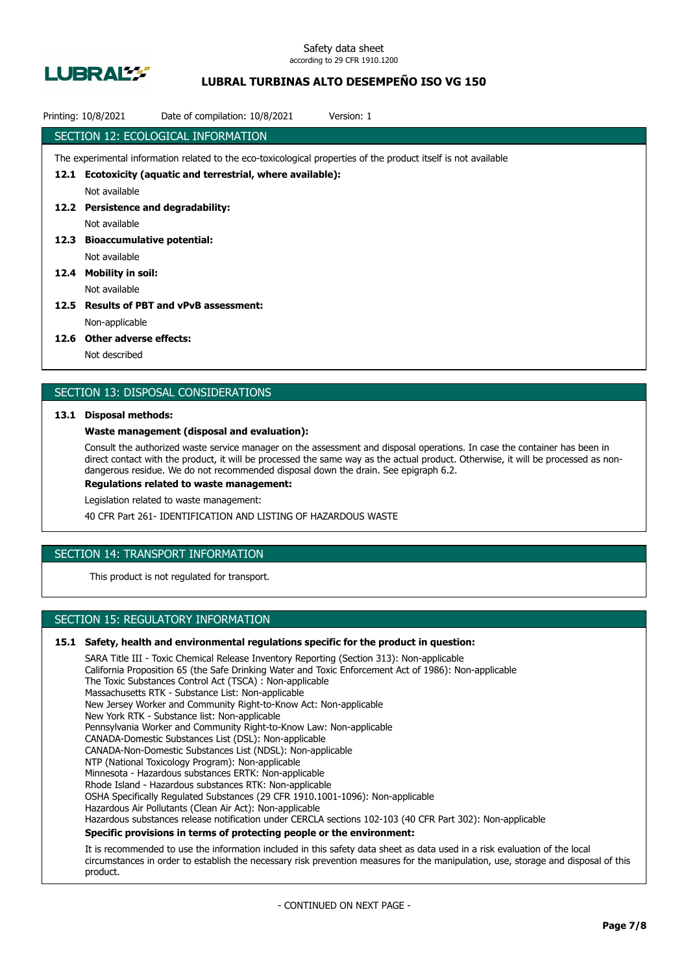

## **LUBRAL TURBINAS ALTO DESEMPEÑO ISO VG 150**

|      | Date of compilation: 10/8/2021<br>Printing: 10/8/2021                                                           | Version: 1 |  |  |  |
|------|-----------------------------------------------------------------------------------------------------------------|------------|--|--|--|
|      | SECTION 12: ECOLOGICAL INFORMATION                                                                              |            |  |  |  |
|      | The experimental information related to the eco-toxicological properties of the product itself is not available |            |  |  |  |
| 12.1 | Ecotoxicity (aquatic and terrestrial, where available):                                                         |            |  |  |  |
|      | Not available                                                                                                   |            |  |  |  |
| 12.2 | <b>Persistence and degradability:</b>                                                                           |            |  |  |  |
|      | Not available                                                                                                   |            |  |  |  |
| 12.3 | <b>Bioaccumulative potential:</b>                                                                               |            |  |  |  |
|      | Not available                                                                                                   |            |  |  |  |
| 12.4 | <b>Mobility in soil:</b>                                                                                        |            |  |  |  |
|      | Not available                                                                                                   |            |  |  |  |
| 12.5 | <b>Results of PBT and vPvB assessment:</b>                                                                      |            |  |  |  |
|      | Non-applicable                                                                                                  |            |  |  |  |
|      |                                                                                                                 |            |  |  |  |

#### **12.6 Other adverse effects:**

Not described

### SECTION 13: DISPOSAL CONSIDERATIONS

#### **13.1 Disposal methods:**

#### **Waste management (disposal and evaluation):**

Consult the authorized waste service manager on the assessment and disposal operations. In case the container has been in direct contact with the product, it will be processed the same way as the actual product. Otherwise, it will be processed as nondangerous residue. We do not recommended disposal down the drain. See epigraph 6.2.

**Regulations related to waste management:**

Legislation related to waste management:

40 CFR Part 261- IDENTIFICATION AND LISTING OF HAZARDOUS WASTE

## SECTION 14: TRANSPORT INFORMATION

This product is not regulated for transport.

## SECTION 15: REGULATORY INFORMATION

#### **15.1 Safety, health and environmental regulations specific for the product in question:**

SARA Title III - Toxic Chemical Release Inventory Reporting (Section 313): Non-applicable California Proposition 65 (the Safe Drinking Water and Toxic Enforcement Act of 1986): Non-applicable The Toxic Substances Control Act (TSCA) : Non-applicable Massachusetts RTK - Substance List: Non-applicable New Jersey Worker and Community Right-to-Know Act: Non-applicable New York RTK - Substance list: Non-applicable Pennsylvania Worker and Community Right-to-Know Law: Non-applicable CANADA-Domestic Substances List (DSL): Non-applicable CANADA-Non-Domestic Substances List (NDSL): Non-applicable NTP (National Toxicology Program): Non-applicable Minnesota - Hazardous substances ERTK: Non-applicable Rhode Island - Hazardous substances RTK: Non-applicable OSHA Specifically Regulated Substances (29 CFR 1910.1001-1096): Non-applicable Hazardous Air Pollutants (Clean Air Act): Non-applicable Hazardous substances release notification under CERCLA sections 102-103 (40 CFR Part 302): Non-applicable **Specific provisions in terms of protecting people or the environment:**

It is recommended to use the information included in this safety data sheet as data used in a risk evaluation of the local circumstances in order to establish the necessary risk prevention measures for the manipulation, use, storage and disposal of this product.

- CONTINUED ON NEXT PAGE -